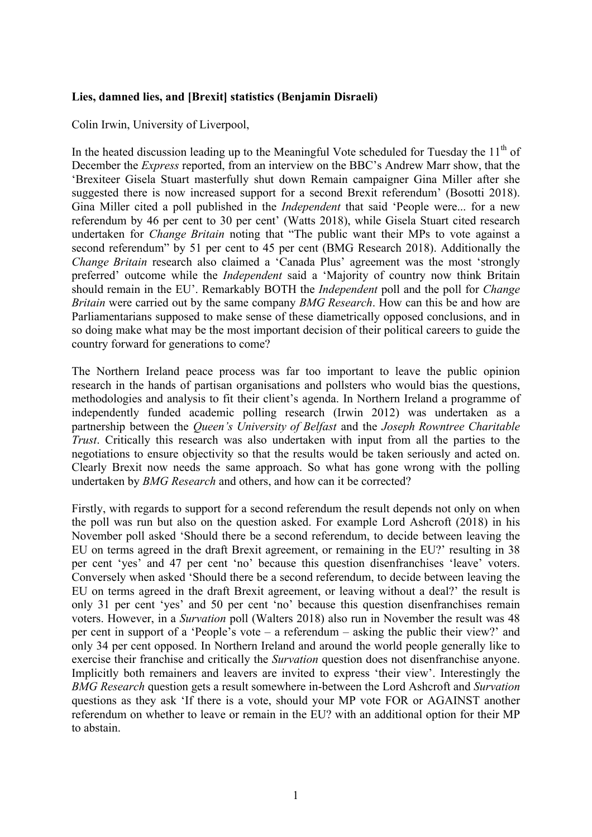## **Lies, damned lies, and [Brexit] statistics (Benjamin Disraeli)**

Colin Irwin, University of Liverpool,

In the heated discussion leading up to the Meaningful Vote scheduled for Tuesday the  $11<sup>th</sup>$  of December the *Express* reported, from an interview on the BBC's Andrew Marr show, that the 'Brexiteer Gisela Stuart masterfully shut down Remain campaigner Gina Miller after she suggested there is now increased support for a second Brexit referendum' (Bosotti 2018). Gina Miller cited a poll published in the *Independent* that said 'People were... for a new referendum by 46 per cent to 30 per cent' (Watts 2018), while Gisela Stuart cited research undertaken for *Change Britain* noting that "The public want their MPs to vote against a second referendum" by 51 per cent to 45 per cent (BMG Research 2018). Additionally the *Change Britain* research also claimed a 'Canada Plus' agreement was the most 'strongly preferred' outcome while the *Independent* said a 'Majority of country now think Britain should remain in the EU'. Remarkably BOTH the *Independent* poll and the poll for *Change Britain* were carried out by the same company *BMG Research*. How can this be and how are Parliamentarians supposed to make sense of these diametrically opposed conclusions, and in so doing make what may be the most important decision of their political careers to guide the country forward for generations to come?

The Northern Ireland peace process was far too important to leave the public opinion research in the hands of partisan organisations and pollsters who would bias the questions, methodologies and analysis to fit their client's agenda. In Northern Ireland a programme of independently funded academic polling research (Irwin 2012) was undertaken as a partnership between the *Queen's University of Belfast* and the *Joseph Rowntree Charitable Trust*. Critically this research was also undertaken with input from all the parties to the negotiations to ensure objectivity so that the results would be taken seriously and acted on. Clearly Brexit now needs the same approach. So what has gone wrong with the polling undertaken by *BMG Research* and others, and how can it be corrected?

Firstly, with regards to support for a second referendum the result depends not only on when the poll was run but also on the question asked. For example Lord Ashcroft (2018) in his November poll asked 'Should there be a second referendum, to decide between leaving the EU on terms agreed in the draft Brexit agreement, or remaining in the EU?' resulting in 38 per cent 'yes' and 47 per cent 'no' because this question disenfranchises 'leave' voters. Conversely when asked 'Should there be a second referendum, to decide between leaving the EU on terms agreed in the draft Brexit agreement, or leaving without a deal?' the result is only 31 per cent 'yes' and 50 per cent 'no' because this question disenfranchises remain voters. However, in a *Survation* poll (Walters 2018) also run in November the result was 48 per cent in support of a 'People's vote – a referendum – asking the public their view?' and only 34 per cent opposed. In Northern Ireland and around the world people generally like to exercise their franchise and critically the *Survation* question does not disenfranchise anyone. Implicitly both remainers and leavers are invited to express 'their view'. Interestingly the *BMG Research* question gets a result somewhere in-between the Lord Ashcroft and *Survation* questions as they ask 'If there is a vote, should your MP vote FOR or AGAINST another referendum on whether to leave or remain in the EU? with an additional option for their MP to abstain.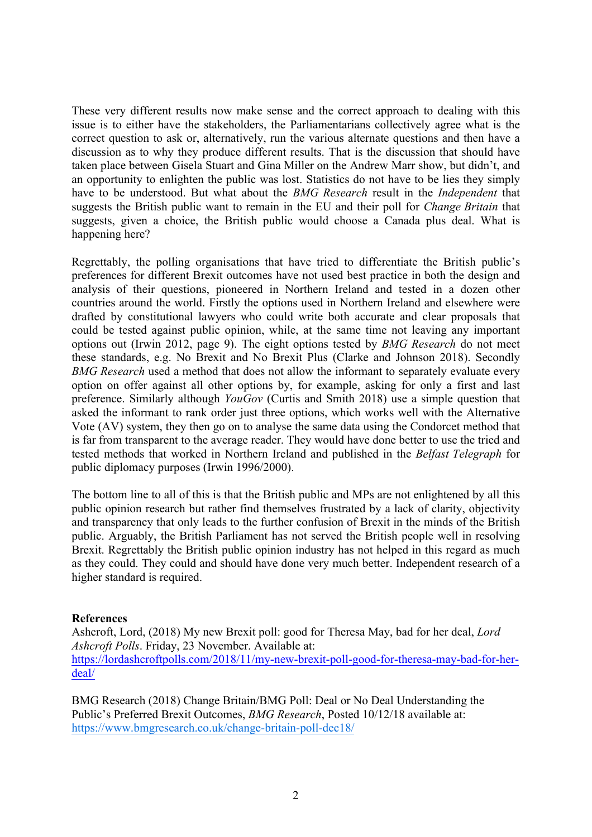These very different results now make sense and the correct approach to dealing with this issue is to either have the stakeholders, the Parliamentarians collectively agree what is the correct question to ask or, alternatively, run the various alternate questions and then have a discussion as to why they produce different results. That is the discussion that should have taken place between Gisela Stuart and Gina Miller on the Andrew Marr show, but didn't, and an opportunity to enlighten the public was lost. Statistics do not have to be lies they simply have to be understood. But what about the *BMG Research* result in the *Independent* that suggests the British public want to remain in the EU and their poll for *Change Britain* that suggests, given a choice, the British public would choose a Canada plus deal. What is happening here?

Regrettably, the polling organisations that have tried to differentiate the British public's preferences for different Brexit outcomes have not used best practice in both the design and analysis of their questions, pioneered in Northern Ireland and tested in a dozen other countries around the world. Firstly the options used in Northern Ireland and elsewhere were drafted by constitutional lawyers who could write both accurate and clear proposals that could be tested against public opinion, while, at the same time not leaving any important options out (Irwin 2012, page 9). The eight options tested by *BMG Research* do not meet these standards, e.g. No Brexit and No Brexit Plus (Clarke and Johnson 2018). Secondly *BMG Research* used a method that does not allow the informant to separately evaluate every option on offer against all other options by, for example, asking for only a first and last preference. Similarly although *YouGov* (Curtis and Smith 2018) use a simple question that asked the informant to rank order just three options, which works well with the Alternative Vote (AV) system, they then go on to analyse the same data using the Condorcet method that is far from transparent to the average reader. They would have done better to use the tried and tested methods that worked in Northern Ireland and published in the *Belfast Telegraph* for public diplomacy purposes (Irwin 1996/2000).

The bottom line to all of this is that the British public and MPs are not enlightened by all this public opinion research but rather find themselves frustrated by a lack of clarity, objectivity and transparency that only leads to the further confusion of Brexit in the minds of the British public. Arguably, the British Parliament has not served the British people well in resolving Brexit. Regrettably the British public opinion industry has not helped in this regard as much as they could. They could and should have done very much better. Independent research of a higher standard is required.

## **References**

Ashcroft, Lord, (2018) My new Brexit poll: good for Theresa May, bad for her deal, *Lord Ashcroft Polls*. Friday, 23 November. Available at: https://lordashcroftpolls.com/2018/11/my-new-brexit-poll-good-for-theresa-may-bad-for-herdeal/

BMG Research (2018) Change Britain/BMG Poll: Deal or No Deal Understanding the Public's Preferred Brexit Outcomes, *BMG Research*, Posted 10/12/18 available at: https://www.bmgresearch.co.uk/change-britain-poll-dec18/